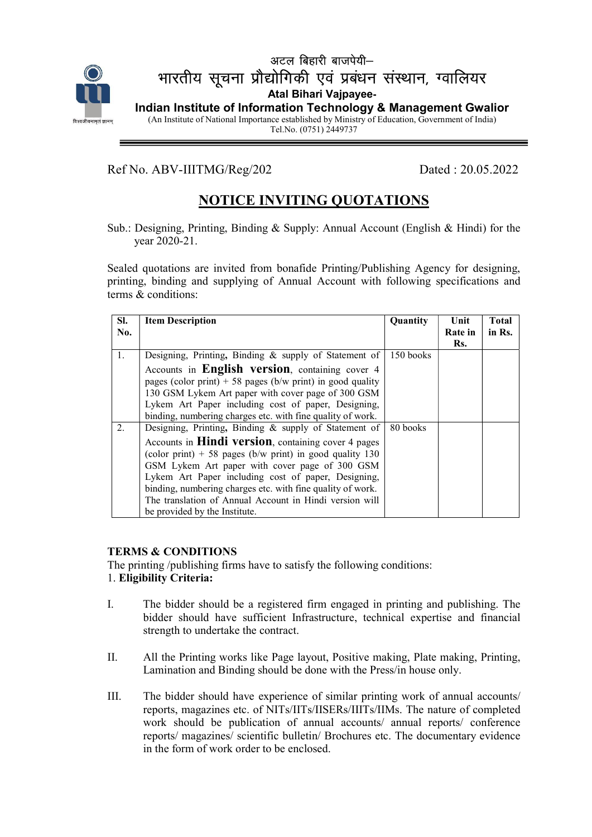

## $\overline{\phantom{a}}$ अटल बिहारी बाजपेयी $-$ भारतीय सूचना प्रौद्योगिकी एवं प्रबंधन संस्थान, ग्वालियर Atal Bihari Vajpayee-Indian Institute of Information Technology & Management Gwalior (An Institute of National Importance established by Ministry of Education, Government of India) Tel.No. (0751) 2449737

Ref No. ABV-IIITMG/Reg/202 Dated : 20.05.2022

 $\overline{a}$ 

# NOTICE INVITING QUOTATIONS

Sub.: Designing, Printing, Binding & Supply: Annual Account (English & Hindi) for the year 2020-21.

Sealed quotations are invited from bonafide Printing/Publishing Agency for designing, printing, binding and supplying of Annual Account with following specifications and terms & conditions:

| SI. | <b>Item Description</b>                                       | Quantity  | Unit           | <b>Total</b> |
|-----|---------------------------------------------------------------|-----------|----------------|--------------|
| No. |                                                               |           | Rate in<br>Rs. | in Rs.       |
| 1.  | Designing, Printing, Binding & supply of Statement of         | 150 books |                |              |
|     | Accounts in English version, containing cover 4               |           |                |              |
|     | pages (color print) + 58 pages ( $b/w$ print) in good quality |           |                |              |
|     | 130 GSM Lykem Art paper with cover page of 300 GSM            |           |                |              |
|     | Lykem Art Paper including cost of paper, Designing,           |           |                |              |
|     | binding, numbering charges etc. with fine quality of work.    |           |                |              |
| 2.  | Designing, Printing, Binding & supply of Statement of         | 80 books  |                |              |
|     | Accounts in <b>Hindi version</b> , containing cover 4 pages   |           |                |              |
|     | (color print) $+ 58$ pages (b/w print) in good quality 130    |           |                |              |
|     | GSM Lykem Art paper with cover page of 300 GSM                |           |                |              |
|     | Lykem Art Paper including cost of paper, Designing,           |           |                |              |
|     | binding, numbering charges etc. with fine quality of work.    |           |                |              |
|     | The translation of Annual Account in Hindi version will       |           |                |              |
|     | be provided by the Institute.                                 |           |                |              |

#### TERMS & CONDITIONS

The printing /publishing firms have to satisfy the following conditions: 1. Eligibility Criteria:

- I. The bidder should be a registered firm engaged in printing and publishing. The bidder should have sufficient Infrastructure, technical expertise and financial strength to undertake the contract.
- II. All the Printing works like Page layout, Positive making, Plate making, Printing, Lamination and Binding should be done with the Press/in house only.
- III. The bidder should have experience of similar printing work of annual accounts/ reports, magazines etc. of NITs/IITs/IISERs/IIITs/IIMs. The nature of completed work should be publication of annual accounts/ annual reports/ conference reports/ magazines/ scientific bulletin/ Brochures etc. The documentary evidence in the form of work order to be enclosed.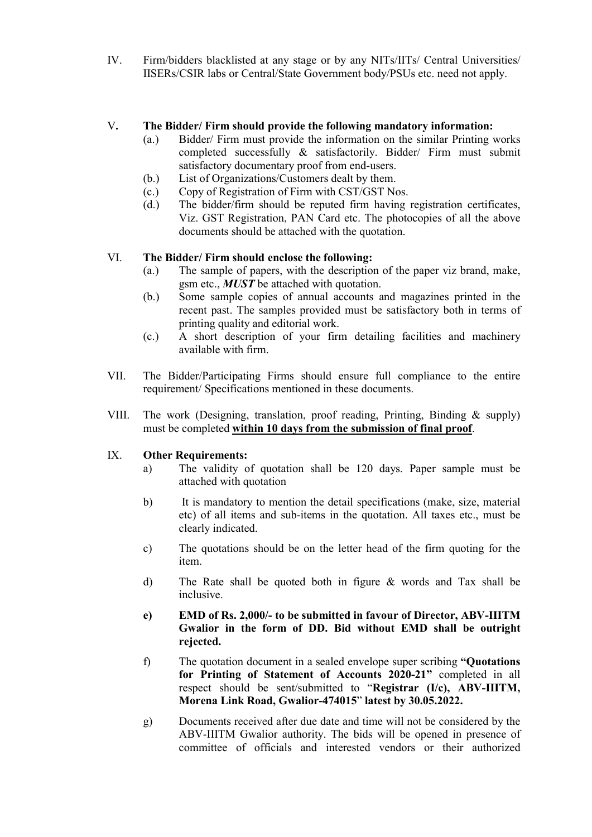IV. Firm/bidders blacklisted at any stage or by any NITs/IITs/ Central Universities/ IISERs/CSIR labs or Central/State Government body/PSUs etc. need not apply.

#### V. The Bidder/ Firm should provide the following mandatory information:

- (a.) Bidder/ Firm must provide the information on the similar Printing works completed successfully & satisfactorily. Bidder/ Firm must submit satisfactory documentary proof from end-users.
- (b.) List of Organizations/Customers dealt by them.
- (c.) Copy of Registration of Firm with CST/GST Nos.
- (d.) The bidder/firm should be reputed firm having registration certificates, Viz. GST Registration, PAN Card etc. The photocopies of all the above documents should be attached with the quotation.

### VI. The Bidder/ Firm should enclose the following:

- (a.) The sample of papers, with the description of the paper viz brand, make, gsm etc.,  $MUST$  be attached with quotation.
- (b.) Some sample copies of annual accounts and magazines printed in the recent past. The samples provided must be satisfactory both in terms of printing quality and editorial work.
- (c.) A short description of your firm detailing facilities and machinery available with firm.
- VII. The Bidder/Participating Firms should ensure full compliance to the entire requirement/ Specifications mentioned in these documents.
- VIII. The work (Designing, translation, proof reading, Printing, Binding & supply) must be completed within 10 days from the submission of final proof.

#### IX. Other Requirements:

- a) The validity of quotation shall be 120 days. Paper sample must be attached with quotation
- b) It is mandatory to mention the detail specifications (make, size, material etc) of all items and sub-items in the quotation. All taxes etc., must be clearly indicated.
- c) The quotations should be on the letter head of the firm quoting for the item.
- d) The Rate shall be quoted both in figure & words and Tax shall be inclusive.
- e) EMD of Rs. 2,000/- to be submitted in favour of Director, ABV-IIITM Gwalior in the form of DD. Bid without EMD shall be outright rejected.
- f) The quotation document in a sealed envelope super scribing "Quotations for Printing of Statement of Accounts 2020-21" completed in all respect should be sent/submitted to "Registrar (I/c), ABV-IIITM, Morena Link Road, Gwalior-474015" latest by 30.05.2022.
- g) Documents received after due date and time will not be considered by the ABV-IIITM Gwalior authority. The bids will be opened in presence of committee of officials and interested vendors or their authorized